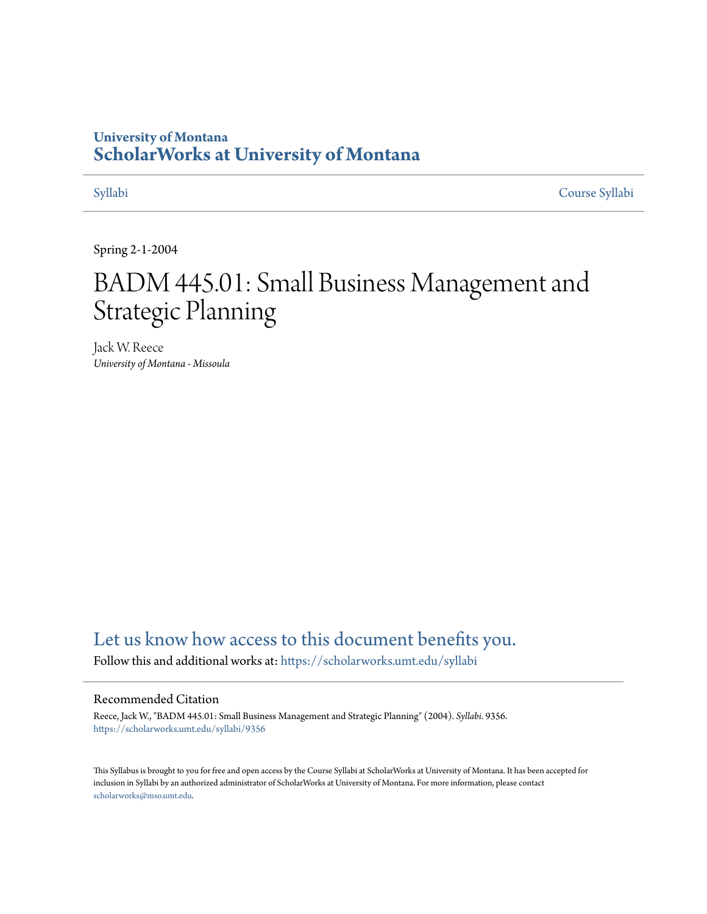# **University of Montana [ScholarWorks at University of Montana](https://scholarworks.umt.edu?utm_source=scholarworks.umt.edu%2Fsyllabi%2F9356&utm_medium=PDF&utm_campaign=PDFCoverPages)**

[Syllabi](https://scholarworks.umt.edu/syllabi?utm_source=scholarworks.umt.edu%2Fsyllabi%2F9356&utm_medium=PDF&utm_campaign=PDFCoverPages) [Course Syllabi](https://scholarworks.umt.edu/course_syllabi?utm_source=scholarworks.umt.edu%2Fsyllabi%2F9356&utm_medium=PDF&utm_campaign=PDFCoverPages)

Spring 2-1-2004

# BADM 445.01: Small Business Management and Strategic Planning

Jack W. Reece *University of Montana - Missoula*

# [Let us know how access to this document benefits you.](https://goo.gl/forms/s2rGfXOLzz71qgsB2)

Follow this and additional works at: [https://scholarworks.umt.edu/syllabi](https://scholarworks.umt.edu/syllabi?utm_source=scholarworks.umt.edu%2Fsyllabi%2F9356&utm_medium=PDF&utm_campaign=PDFCoverPages)

#### Recommended Citation

Reece, Jack W., "BADM 445.01: Small Business Management and Strategic Planning" (2004). *Syllabi*. 9356. [https://scholarworks.umt.edu/syllabi/9356](https://scholarworks.umt.edu/syllabi/9356?utm_source=scholarworks.umt.edu%2Fsyllabi%2F9356&utm_medium=PDF&utm_campaign=PDFCoverPages)

This Syllabus is brought to you for free and open access by the Course Syllabi at ScholarWorks at University of Montana. It has been accepted for inclusion in Syllabi by an authorized administrator of ScholarWorks at University of Montana. For more information, please contact [scholarworks@mso.umt.edu](mailto:scholarworks@mso.umt.edu).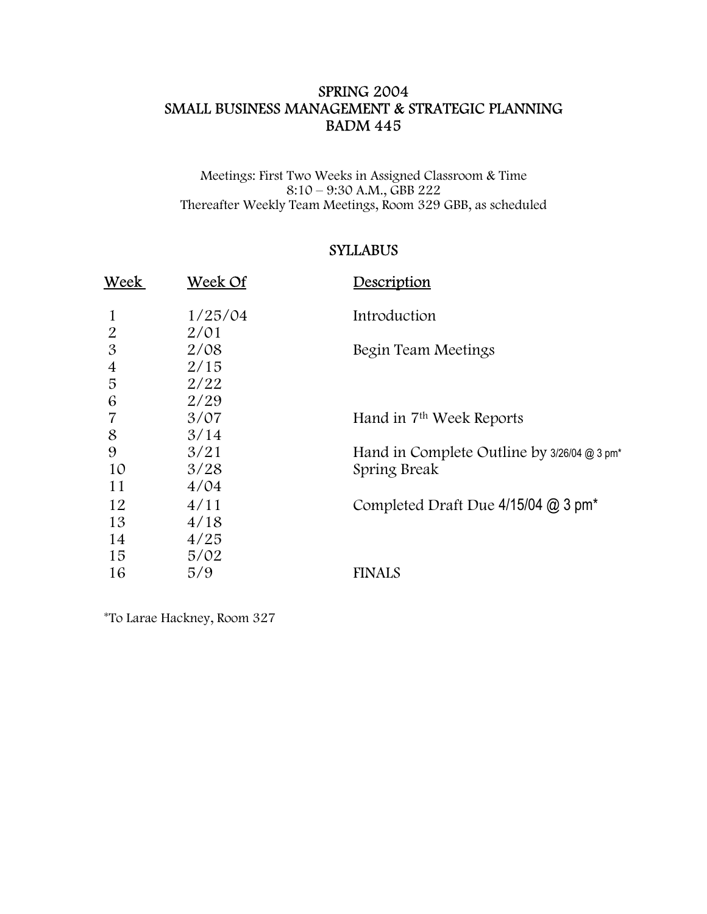#### SPRING 2004 SMALL BUSINESS MANAGEMENT & STRATEGIC PLANNING BADM 445

Meetings: First Two Weeks in Assigned Classroom & Time 8:10 – 9:30 A.M., GBB 222 Thereafter Weekly Team Meetings, Room 329 GBB, as scheduled

# **SYLLABUS**

| <u>Week</u>    | Week Of | Description                                             |
|----------------|---------|---------------------------------------------------------|
| 1              | 1/25/04 | Introduction                                            |
| $\overline{2}$ | 2/01    |                                                         |
| $\mathfrak{B}$ | 2/08    | Begin Team Meetings                                     |
| 4              | 2/15    |                                                         |
| 5              | 2/22    |                                                         |
| 6              | 2/29    |                                                         |
| 7              | 3/07    | Hand in 7 <sup>th</sup> Week Reports                    |
| 8              | 3/14    |                                                         |
| 9              | 3/21    | Hand in Complete Outline by 3/26/04 @ 3 pm <sup>*</sup> |
| 10             | 3/28    | Spring Break                                            |
| 11             | 4/04    |                                                         |
| 12             | 4/11    | Completed Draft Due $4/15/04$ @ 3 pm <sup>*</sup>       |
| 13             | 4/18    |                                                         |
| 14             | 4/25    |                                                         |
| 15             | 5/02    |                                                         |
| 16             | 5/9     | <b>FINALS</b>                                           |
|                |         |                                                         |

\*To Larae Hackney, Room 327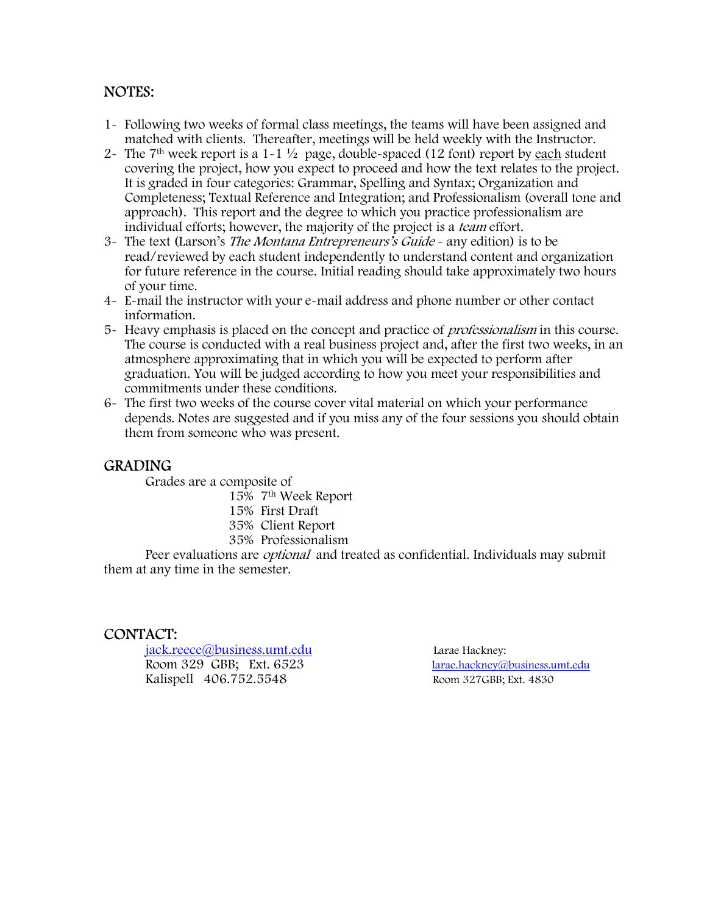### NOTES:

- 1- Following two weeks of formal class meetings, the teams will have been assigned and matched with clients. Thereafter, meetings will be held weekly with the Instructor.
- 2- The 7<sup>th</sup> week report is a 1-1  $\frac{1}{2}$  page, double-spaced (12 font) report by each student covering the project, how you expect to proceed and how the text relates to the project. It is graded in four categories: Grammar, Spelling and Syntax; Organization and Completeness; Textual Reference and Integration; and Professionalism (overall tone and approach). This report and the degree to which you practice professionalism are individual efforts; however, the majority of the project is a *team* effort.
- 3- The text (Larson's The Montana Entrepreneurs's Guide any edition) is to be read/reviewed by each student independently to understand content and organization for future reference in the course. Initial reading should take approximately two hours of your time.
- 4- E-mail the instructor with your e-mail address and phone number or other contact information.
- 5- Heavy emphasis is placed on the concept and practice of professionalism in this course. The course is conducted with a real business project and, after the first two weeks, in an atmosphere approximating that in which you will be expected to perform after graduation. You will be judged according to how you meet your responsibilities and commitments under these conditions.
- 6- The first two weeks of the course cover vital material on which your performance depends. Notes are suggested and if you miss any of the four sessions you should obtain them from someone who was present.

#### GRADING

Grades are a composite of

- 15% 7th Week Report
	- 15% First Draft
	- 35% Client Report
	- 35% Professionalism

Peer evaluations are optional and treated as confidential. Individuals may submit them at any time in the semester.

#### CONTACT:

iack.reece@business.umt.edu Larae Hackney: Room 329 GBB; Ext. 6523 larae.hackney@business.umt.edu Kalispell 406.752.5548 Room 327GBB; Ext. 4830